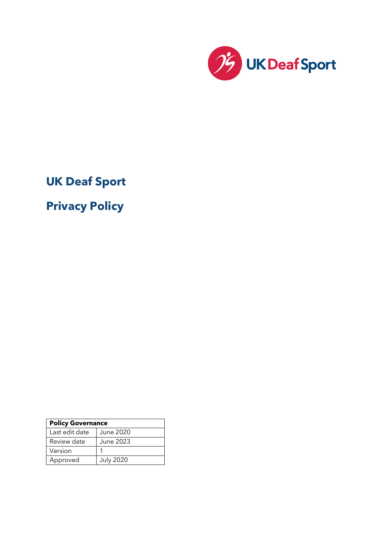

**UK Deaf Sport** 

**Privacy Policy**

| <b>Policy Governance</b> |                  |
|--------------------------|------------------|
| Last edit date           | <b>June 2020</b> |
| Review date              | <b>June 2023</b> |
| Version                  |                  |
| Approved                 | <b>July 2020</b> |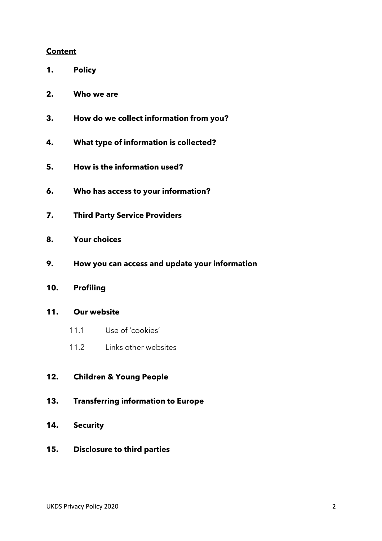#### **Content**

- **1. Policy**
- **2. Who we are**
- **3. How do we collect information from you?**
- **4. What type of information is collected?**
- **5. How is the information used?**
- **6. Who has access to your information?**
- **7. Third Party Service Providers**
- **8. Your choices**
- **9. How you can access and update your information**
- **10. Profiling**

#### **11. Our website**

- 11.1 Use of 'cookies'
- 11.2 Links other websites

### **12. Children & Young People**

- **13. Transferring information to Europe**
- **14. Security**
- **15. Disclosure to third parties**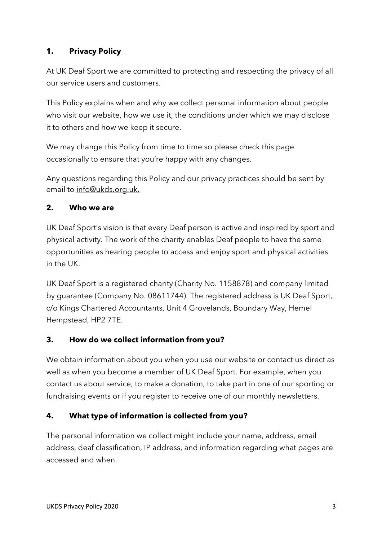# **1. Privacy Policy**

At UK Deaf Sport we are committed to protecting and respecting the privacy of all our service users and customers.

This Policy explains when and why we collect personal information about people who visit our website, how we use it, the conditions under which we may disclose it to others and how we keep it secure.

We may change this Policy from time to time so please check this page occasionally to ensure that you're happy with any changes.

Any questions regarding this Policy and our privacy practices should be sent by email to info@ukds.org.uk.

### **2. Who we are**

UK Deaf Sport's vision is that every Deaf person is active and inspired by sport and physical activity. The work of the charity enables Deaf people to have the same opportunities as hearing people to access and enjoy sport and physical activities in the UK.

UK Deaf Sport is a registered charity (Charity No. 1158878) and company limited by guarantee (Company No. 08611744). The registered address is UK Deaf Sport, c/o Kings Chartered Accountants, Unit 4 Grovelands, Boundary Way, Hemel Hempstead, HP2 7TE.

### **3. How do we collect information from you?**

We obtain information about you when you use our website or contact us direct as well as when you become a member of UK Deaf Sport. For example, when you contact us about service, to make a donation, to take part in one of our sporting or fundraising events or if you register to receive one of our monthly newsletters.

# **4. What type of information is collected from you?**

The personal information we collect might include your name, address, email address, deaf classification, IP address, and information regarding what pages are accessed and when.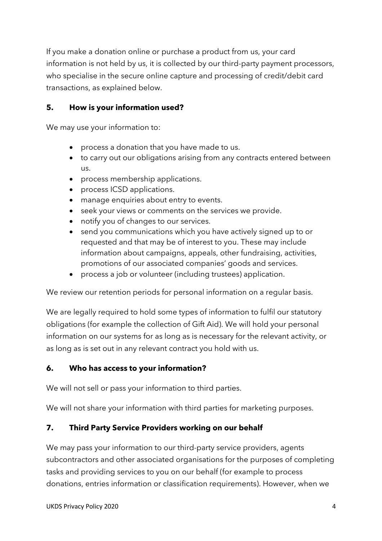If you make a donation online or purchase a product from us, your card information is not held by us, it is collected by our third-party payment processors, who specialise in the secure online capture and processing of credit/debit card transactions, as explained below.

### **5. How is your information used?**

We may use your information to:

- process a donation that you have made to us.
- to carry out our obligations arising from any contracts entered between us.
- process membership applications.
- process ICSD applications.
- manage enquiries about entry to events.
- seek your views or comments on the services we provide.
- notify you of changes to our services.
- send you communications which you have actively signed up to or requested and that may be of interest to you. These may include information about campaigns, appeals, other fundraising, activities, promotions of our associated companies' goods and services.
- process a job or volunteer (including trustees) application.

We review our retention periods for personal information on a regular basis.

We are legally required to hold some types of information to fulfil our statutory obligations (for example the collection of Gift Aid). We will hold your personal information on our systems for as long as is necessary for the relevant activity, or as long as is set out in any relevant contract you hold with us.

### **6. Who has access to your information?**

We will not sell or pass your information to third parties.

We will not share your information with third parties for marketing purposes.

# **7. Third Party Service Providers working on our behalf**

We may pass your information to our third-party service providers, agents subcontractors and other associated organisations for the purposes of completing tasks and providing services to you on our behalf (for example to process donations, entries information or classification requirements). However, when we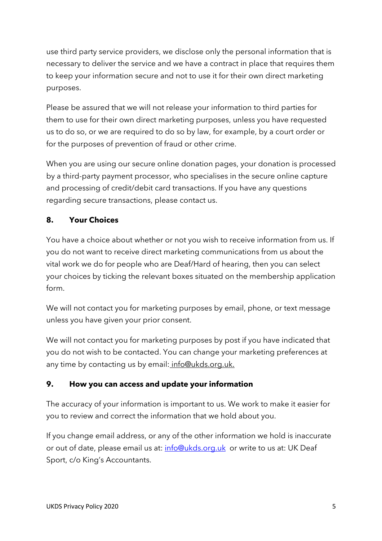use third party service providers, we disclose only the personal information that is necessary to deliver the service and we have a contract in place that requires them to keep your information secure and not to use it for their own direct marketing purposes.

Please be assured that we will not release your information to third parties for them to use for their own direct marketing purposes, unless you have requested us to do so, or we are required to do so by law, for example, by a court order or for the purposes of prevention of fraud or other crime.

When you are using our secure online donation pages, your donation is processed by a third-party payment processor, who specialises in the secure online capture and processing of credit/debit card transactions. If you have any questions regarding secure transactions, please contact us.

# **8. Your Choices**

You have a choice about whether or not you wish to receive information from us. If you do not want to receive direct marketing communications from us about the vital work we do for people who are Deaf/Hard of hearing, then you can select your choices by ticking the relevant boxes situated on the membership application form.

We will not contact you for marketing purposes by email, phone, or text message unless you have given your prior consent.

We will not contact you for marketing purposes by post if you have indicated that you do not wish to be contacted. You can change your marketing preferences at any time by contacting us by email: info@ukds.org.uk.

### **9. How you can access and update your information**

The accuracy of your information is important to us. We work to make it easier for you to review and correct the information that we hold about you.

If you change email address, or any of the other information we hold is inaccurate or out of date, please email us at: info@ukds.org.uk or write to us at: UK Deaf Sport, c/o King's Accountants.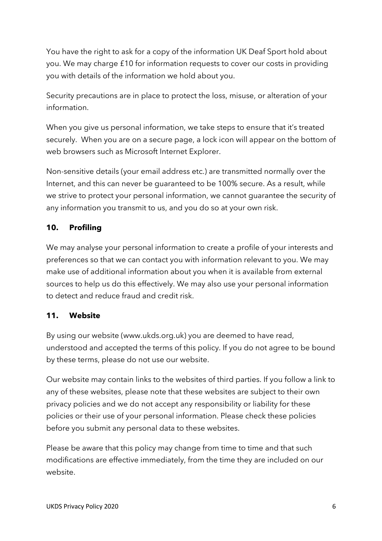You have the right to ask for a copy of the information UK Deaf Sport hold about you. We may charge £10 for information requests to cover our costs in providing you with details of the information we hold about you.

Security precautions are in place to protect the loss, misuse, or alteration of your information.

When you give us personal information, we take steps to ensure that it's treated securely. When you are on a secure page, a lock icon will appear on the bottom of web browsers such as Microsoft Internet Explorer.

Non-sensitive details (your email address etc.) are transmitted normally over the Internet, and this can never be guaranteed to be 100% secure. As a result, while we strive to protect your personal information, we cannot guarantee the security of any information you transmit to us, and you do so at your own risk.

# **10. Profiling**

We may analyse your personal information to create a profile of your interests and preferences so that we can contact you with information relevant to you. We may make use of additional information about you when it is available from external sources to help us do this effectively. We may also use your personal information to detect and reduce fraud and credit risk.

# **11. Website**

By using our website (www.ukds.org.uk) you are deemed to have read, understood and accepted the terms of this policy. If you do not agree to be bound by these terms, please do not use our website.

Our website may contain links to the websites of third parties. If you follow a link to any of these websites, please note that these websites are subject to their own privacy policies and we do not accept any responsibility or liability for these policies or their use of your personal information. Please check these policies before you submit any personal data to these websites.

Please be aware that this policy may change from time to time and that such modifications are effective immediately, from the time they are included on our website.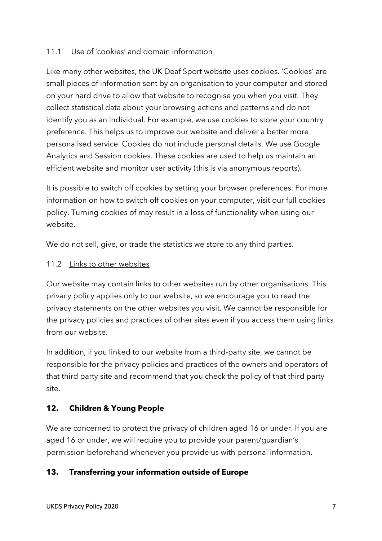### 11.1 Use of 'cookies' and domain information

Like many other websites, the UK Deaf Sport website uses cookies. 'Cookies' are small pieces of information sent by an organisation to your computer and stored on your hard drive to allow that website to recognise you when you visit. They collect statistical data about your browsing actions and patterns and do not identify you as an individual. For example, we use cookies to store your country preference. This helps us to improve our website and deliver a better more personalised service. Cookies do not include personal details. We use Google Analytics and Session cookies. These cookies are used to help us maintain an efficient website and monitor user activity (this is via anonymous reports).

It is possible to switch off cookies by setting your browser preferences. For more information on how to switch off cookies on your computer, visit our full cookies policy. Turning cookies of may result in a loss of functionality when using our website.

We do not sell, give, or trade the statistics we store to any third parties.

#### 11.2 Links to other websites

Our website may contain links to other websites run by other organisations. This privacy policy applies only to our website, so we encourage you to read the privacy statements on the other websites you visit. We cannot be responsible for the privacy policies and practices of other sites even if you access them using links from our website.

In addition, if you linked to our website from a third-party site, we cannot be responsible for the privacy policies and practices of the owners and operators of that third party site and recommend that you check the policy of that third party site.

### **12. Children & Young People**

We are concerned to protect the privacy of children aged 16 or under. If you are aged 16 or under, we will require you to provide your parent/quardian's permission beforehand whenever you provide us with personal information.

### **13. Transferring your information outside of Europe**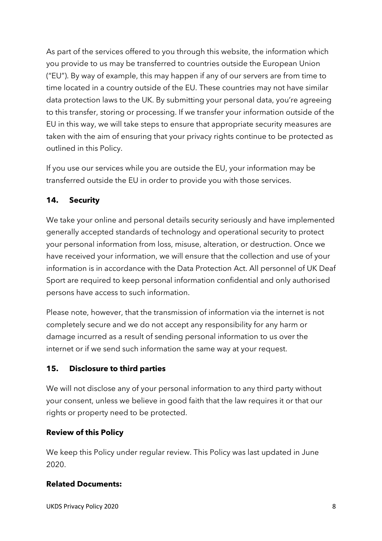As part of the services offered to you through this website, the information which you provide to us may be transferred to countries outside the European Union ("EU"). By way of example, this may happen if any of our servers are from time to time located in a country outside of the EU. These countries may not have similar data protection laws to the UK. By submitting your personal data, you're agreeing to this transfer, storing or processing. If we transfer your information outside of the EU in this way, we will take steps to ensure that appropriate security measures are taken with the aim of ensuring that your privacy rights continue to be protected as outlined in this Policy.

If you use our services while you are outside the EU, your information may be transferred outside the EU in order to provide you with those services.

### **14. Security**

We take your online and personal details security seriously and have implemented generally accepted standards of technology and operational security to protect your personal information from loss, misuse, alteration, or destruction. Once we have received your information, we will ensure that the collection and use of your information is in accordance with the Data Protection Act. All personnel of UK Deaf Sport are required to keep personal information confidential and only authorised persons have access to such information.

Please note, however, that the transmission of information via the internet is not completely secure and we do not accept any responsibility for any harm or damage incurred as a result of sending personal information to us over the internet or if we send such information the same way at your request.

### **15. Disclosure to third parties**

We will not disclose any of your personal information to any third party without your consent, unless we believe in good faith that the law requires it or that our rights or property need to be protected.

### **Review of this Policy**

We keep this Policy under regular review. This Policy was last updated in June 2020.

### **Related Documents:**

UKDS Privacy Policy 2020 8